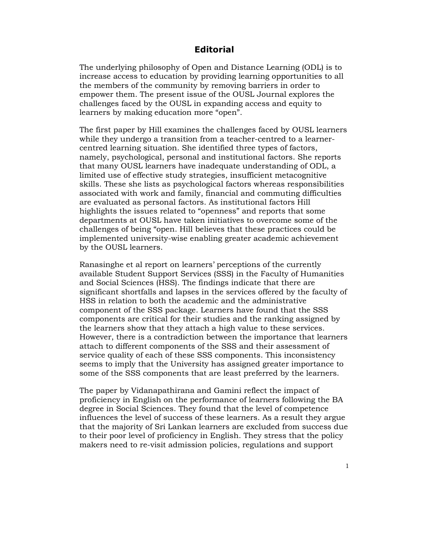## **Editorial**

The underlying philosophy of Open and Distance Learning (ODL) is to increase access to education by providing learning opportunities to all the members of the community by removing barriers in order to empower them. The present issue of the OUSL Journal explores the challenges faced by the OUSL in expanding access and equity to learners by making education more "open".

The first paper by Hill examines the challenges faced by OUSL learners while they undergo a transition from a teacher-centred to a learnercentred learning situation. She identified three types of factors, namely, psychological, personal and institutional factors. She reports that many OUSL learners have inadequate understanding of ODL, a limited use of effective study strategies, insufficient metacognitive skills. These she lists as psychological factors whereas responsibilities associated with work and family, financial and commuting difficulties are evaluated as personal factors. As institutional factors Hill highlights the issues related to "openness" and reports that some departments at OUSL have taken initiatives to overcome some of the challenges of being "open. Hill believes that these practices could be implemented university-wise enabling greater academic achievement by the OUSL learners.

Ranasinghe et al report on learners' perceptions of the currently available Student Support Services (SSS) in the Faculty of Humanities and Social Sciences (HSS). The findings indicate that there are significant shortfalls and lapses in the services offered by the faculty of HSS in relation to both the academic and the administrative component of the SSS package. Learners have found that the SSS components are critical for their studies and the ranking assigned by the learners show that they attach a high value to these services. However, there is a contradiction between the importance that learners attach to different components of the SSS and their assessment of service quality of each of these SSS components. This inconsistency seems to imply that the University has assigned greater importance to some of the SSS components that are least preferred by the learners.

The paper by Vidanapathirana and Gamini reflect the impact of proficiency in English on the performance of learners following the BA degree in Social Sciences. They found that the level of competence influences the level of success of these learners. As a result they argue that the majority of Sri Lankan learners are excluded from success due to their poor level of proficiency in English. They stress that the policy makers need to re-visit admission policies, regulations and support